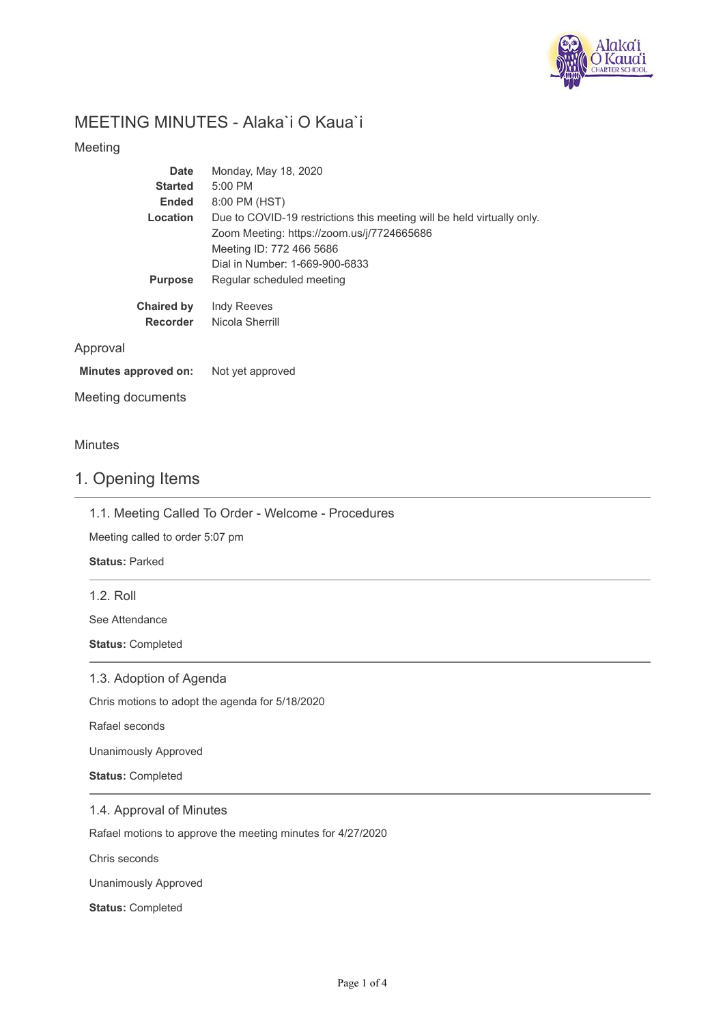

# MEETING MINUTES - Alaka`i O Kaua`i

### Meeting

| <b>Date</b>       | Monday, May 18, 2020                                                   |
|-------------------|------------------------------------------------------------------------|
| <b>Started</b>    | $5:00$ PM                                                              |
| <b>Ended</b>      | 8:00 PM (HST)                                                          |
| Location          | Due to COVID-19 restrictions this meeting will be held virtually only. |
|                   | Zoom Meeting: https://zoom.us/j/7724665686                             |
|                   | Meeting ID: 772 466 5686                                               |
|                   | Dial in Number: 1-669-900-6833                                         |
| <b>Purpose</b>    | Regular scheduled meeting                                              |
| <b>Chaired by</b> | <b>Indy Reeves</b>                                                     |
| <b>Recorder</b>   | Nicola Sherrill                                                        |
|                   |                                                                        |
|                   |                                                                        |

#### **Minutes approved on:** Not yet approved

Meeting documents

### Minutes

Approval

# 1. Opening Items

1.1. Meeting Called To Order - Welcome - Procedures

Meeting called to order 5:07 pm

**Status:** Parked

1.2. Roll

See Attendance

**Status:** Completed

### 1.3. Adoption of Agenda

Chris motions to adopt the agenda for 5/18/2020

Rafael seconds

Unanimously Approved

**Status:** Completed

1.4. Approval of Minutes

Rafael motions to approve the meeting minutes for 4/27/2020

Chris seconds

Unanimously Approved

**Status:** Completed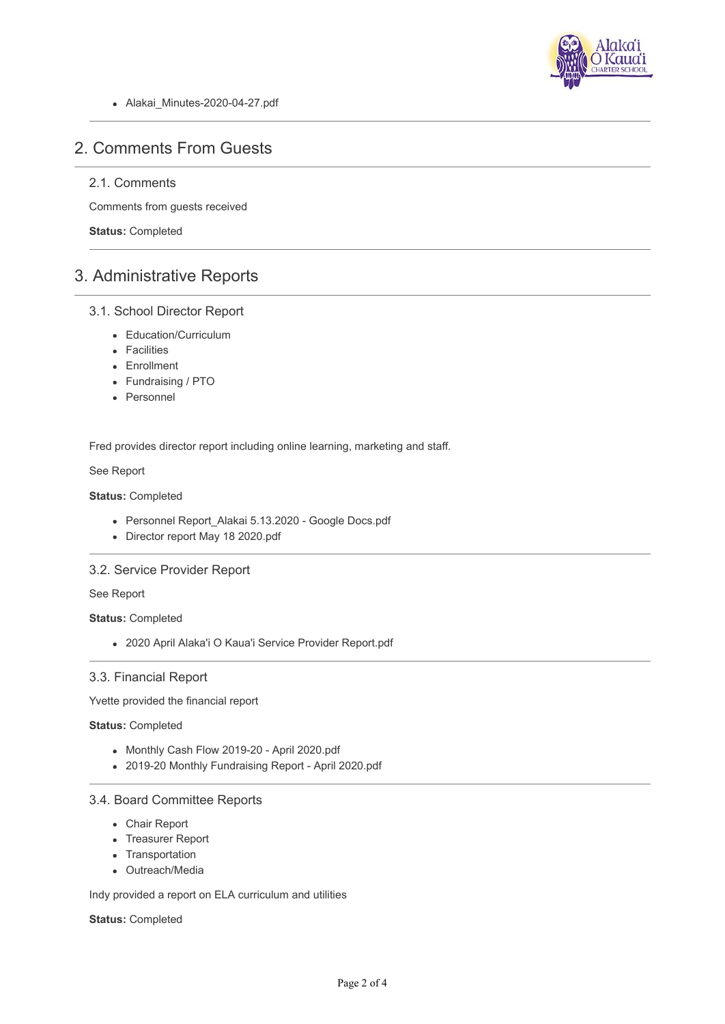

• Alakai Minutes-2020-04-27.pdf

# 2. Comments From Guests

# 2.1. Comments

Comments from guests received

**Status:** Completed

# 3. Administrative Reports

### 3.1. School Director Report

- Education/Curriculum
- Facilities
- Enrollment
- Fundraising / PTO
- Personnel

Fred provides director report including online learning, marketing and staff.

See Report

### **Status:** Completed

- Personnel Report\_Alakai 5.13.2020 Google Docs.pdf
- Director report May 18 2020.pdf

### 3.2. Service Provider Report

See Report

**Status:** Completed

2020 April Alaka'i O Kaua'i Service Provider Report.pdf

#### 3.3. Financial Report

Yvette provided the financial report

**Status:** Completed

- Monthly Cash Flow 2019-20 April 2020.pdf
- 2019-20 Monthly Fundraising Report April 2020.pdf

#### 3.4. Board Committee Reports

- Chair Report
- Treasurer Report
- Transportation
- Outreach/Media

Indy provided a report on ELA curriculum and utilities

#### **Status:** Completed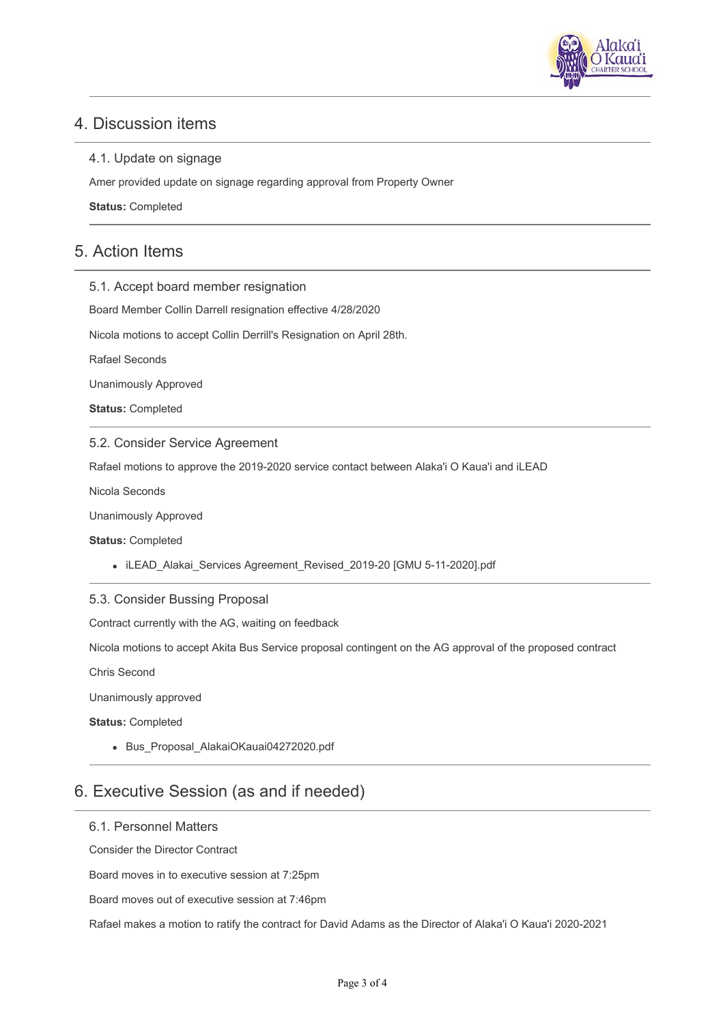

# 4. Discussion items

### 4.1. Update on signage

Amer provided update on signage regarding approval from Property Owner

**Status:** Completed

# 5. Action Items

5.1. Accept board member resignation

Board Member Collin Darrell resignation effective 4/28/2020

Nicola motions to accept Collin Derrill's Resignation on April 28th.

Rafael Seconds

Unanimously Approved

**Status:** Completed

### 5.2. Consider Service Agreement

Rafael motions to approve the 2019-2020 service contact between Alaka'i O Kaua'i and iLEAD

Nicola Seconds

Unanimously Approved

**Status:** Completed

iLEAD\_Alakai\_Services Agreement\_Revised\_2019-20 [GMU 5-11-2020].pdf

### 5.3. Consider Bussing Proposal

Contract currently with the AG, waiting on feedback

Nicola motions to accept Akita Bus Service proposal contingent on the AG approval of the proposed contract

Chris Second

Unanimously approved

**Status:** Completed

• Bus Proposal AlakaiOKauai04272020.pdf

# 6. Executive Session (as and if needed)

#### 6.1. Personnel Matters

Consider the Director Contract

Board moves in to executive session at 7:25pm

Board moves out of executive session at 7:46pm

Rafael makes a motion to ratify the contract for David Adams as the Director of Alaka'i O Kaua'i 2020-2021